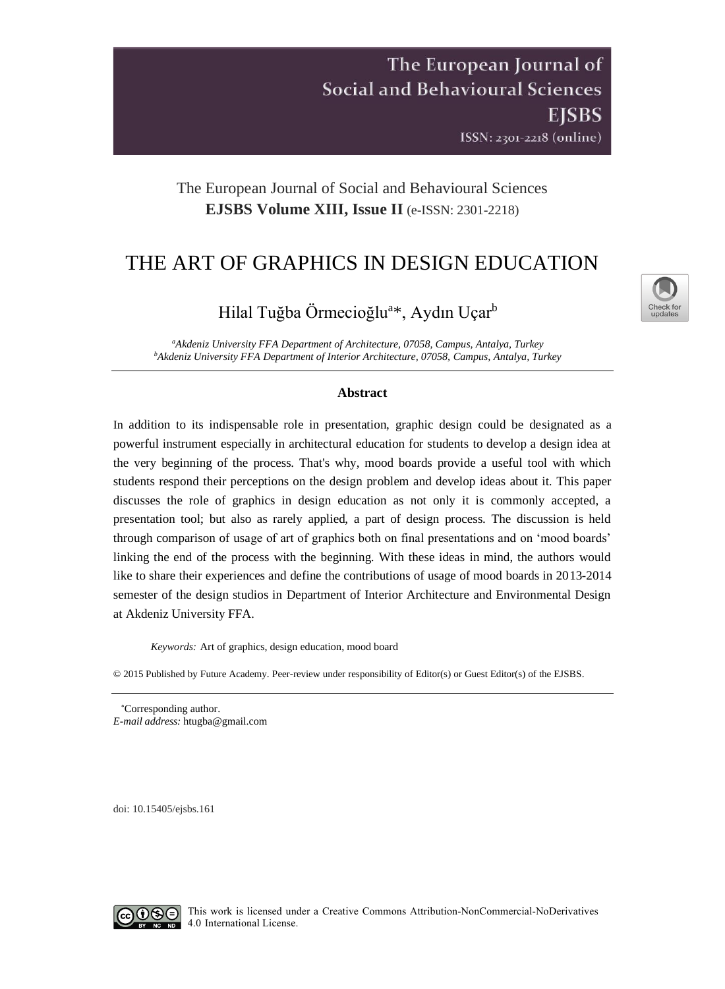The European Journal of **Social and Behavioural Sciences EISBS** ISSN: 2301-2218 (online)

## The European Journal of Social and Behavioural Sciences **EJSBS Volume XIII, Issue II** (e-ISSN: 2301-2218)

# THE ART OF GRAPHICS IN DESIGN EDUCATION



Hilal Tuğba Örmecioğlu<sup>a</sup>\*, Aydın Uçar<sup>b</sup>

*<sup>a</sup>Akdeniz University FFA Department of Architecture, 07058, Campus, Antalya, Turkey <sup>b</sup>Akdeniz University FFA Department of Interior Architecture, 07058, Campus, Antalya, Turkey*

## **Abstract**

In addition to its indispensable role in presentation, graphic design could be designated as a powerful instrument especially in architectural education for students to develop a design idea at the very beginning of the process. That's why, mood boards provide a useful tool with which students respond their perceptions on the design problem and develop ideas about it. This paper discusses the role of graphics in design education as not only it is commonly accepted, a presentation tool; but also as rarely applied, a part of design process. The discussion is held through comparison of usage of art of graphics both on final presentations and on 'mood boards' linking the end of the process with the beginning. With these ideas in mind, the authors would like to share their experiences and define the contributions of usage of mood boards in 2013-2014 semester of the design studios in Department of Interior Architecture and Environmental Design at Akdeniz University FFA.

*Keywords:* Art of graphics, design education, mood board

© 2015 Published by Future Academy. Peer-review under responsibility of Editor(s) or Guest Editor(s) of the EJSBS.

Corresponding author. *E-mail address:* [htugba@gmail.com](mailto:htugba@gmail.com)

doi: [10.15405/ejsbs.161](https://doi.org/10.15405/ejsbs.161)

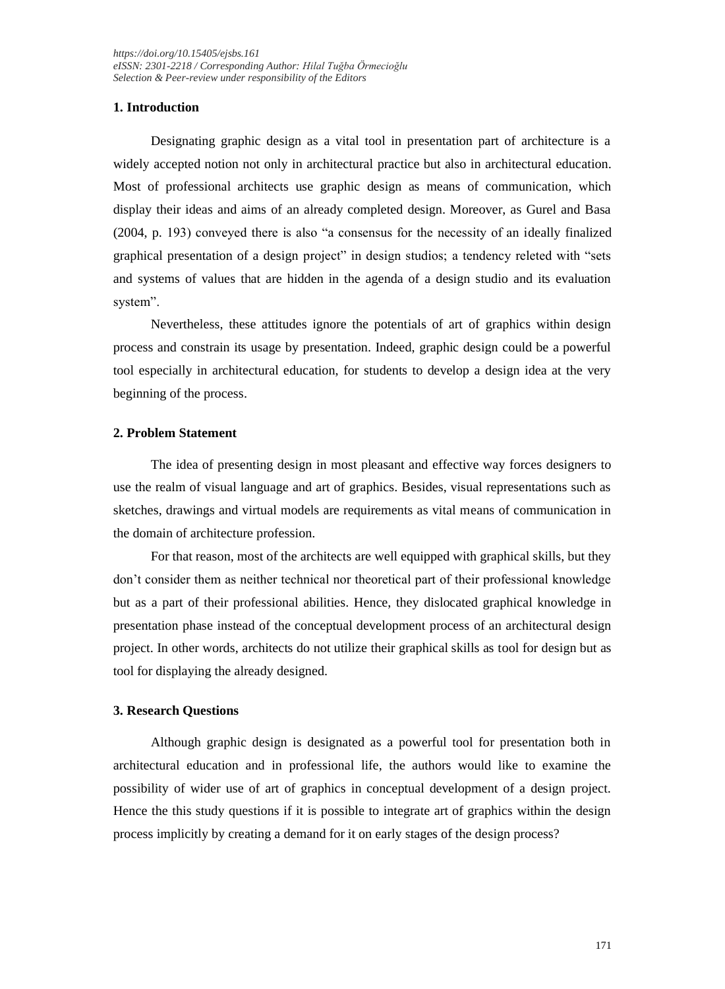## **1. Introduction**

Designating graphic design as a vital tool in presentation part of architecture is a widely accepted notion not only in architectural practice but also in architectural education. Most of professional architects use graphic design as means of communication, which display their ideas and aims of an already completed design. Moreover, as Gurel and Basa (2004, p. 193) conveyed there is also "a consensus for the necessity of an ideally finalized graphical presentation of a design project" in design studios; a tendency releted with "sets and systems of values that are hidden in the agenda of a design studio and its evaluation system".

Nevertheless, these attitudes ignore the potentials of art of graphics within design process and constrain its usage by presentation. Indeed, graphic design could be a powerful tool especially in architectural education, for students to develop a design idea at the very beginning of the process.

#### **2. Problem Statement**

The idea of presenting design in most pleasant and effective way forces designers to use the realm of visual language and art of graphics. Besides, visual representations such as sketches, drawings and virtual models are requirements as vital means of communication in the domain of architecture profession.

For that reason, most of the architects are well equipped with graphical skills, but they don't consider them as neither technical nor theoretical part of their professional knowledge but as a part of their professional abilities. Hence, they dislocated graphical knowledge in presentation phase instead of the conceptual development process of an architectural design project. In other words, architects do not utilize their graphical skills as tool for design but as tool for displaying the already designed.

#### **3. Research Questions**

Although graphic design is designated as a powerful tool for presentation both in architectural education and in professional life, the authors would like to examine the possibility of wider use of art of graphics in conceptual development of a design project. Hence the this study questions if it is possible to integrate art of graphics within the design process implicitly by creating a demand for it on early stages of the design process?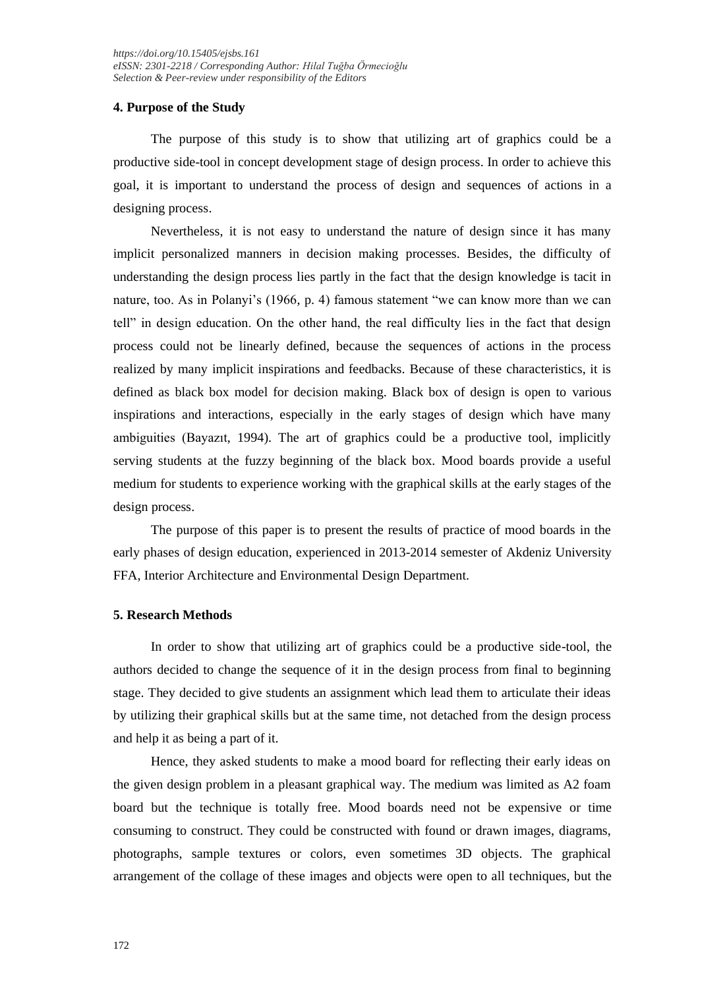## **4. Purpose of the Study**

The purpose of this study is to show that utilizing art of graphics could be a productive side-tool in concept development stage of design process. In order to achieve this goal, it is important to understand the process of design and sequences of actions in a designing process.

Nevertheless, it is not easy to understand the nature of design since it has many implicit personalized manners in decision making processes. Besides, the difficulty of understanding the design process lies partly in the fact that the design knowledge is tacit in nature, too. As in Polanyi's (1966, p. 4) famous statement "we can know more than we can tell" in design education. On the other hand, the real difficulty lies in the fact that design process could not be linearly defined, because the sequences of actions in the process realized by many implicit inspirations and feedbacks. Because of these characteristics, it is defined as black box model for decision making. Black box of design is open to various inspirations and interactions, especially in the early stages of design which have many ambiguities (Bayazıt, 1994). The art of graphics could be a productive tool, implicitly serving students at the fuzzy beginning of the black box. Mood boards provide a useful medium for students to experience working with the graphical skills at the early stages of the design process.

The purpose of this paper is to present the results of practice of mood boards in the early phases of design education, experienced in 2013-2014 semester of Akdeniz University FFA, Interior Architecture and Environmental Design Department.

## **5. Research Methods**

In order to show that utilizing art of graphics could be a productive side-tool, the authors decided to change the sequence of it in the design process from final to beginning stage. They decided to give students an assignment which lead them to articulate their ideas by utilizing their graphical skills but at the same time, not detached from the design process and help it as being a part of it.

Hence, they asked students to make a mood board for reflecting their early ideas on the given design problem in a pleasant graphical way. The medium was limited as A2 foam board but the technique is totally free. Mood boards need not be expensive or time consuming to construct. They could be constructed with found or drawn images, diagrams, photographs, sample textures or colors, even sometimes 3D objects. The graphical arrangement of the collage of these images and objects were open to all techniques, but the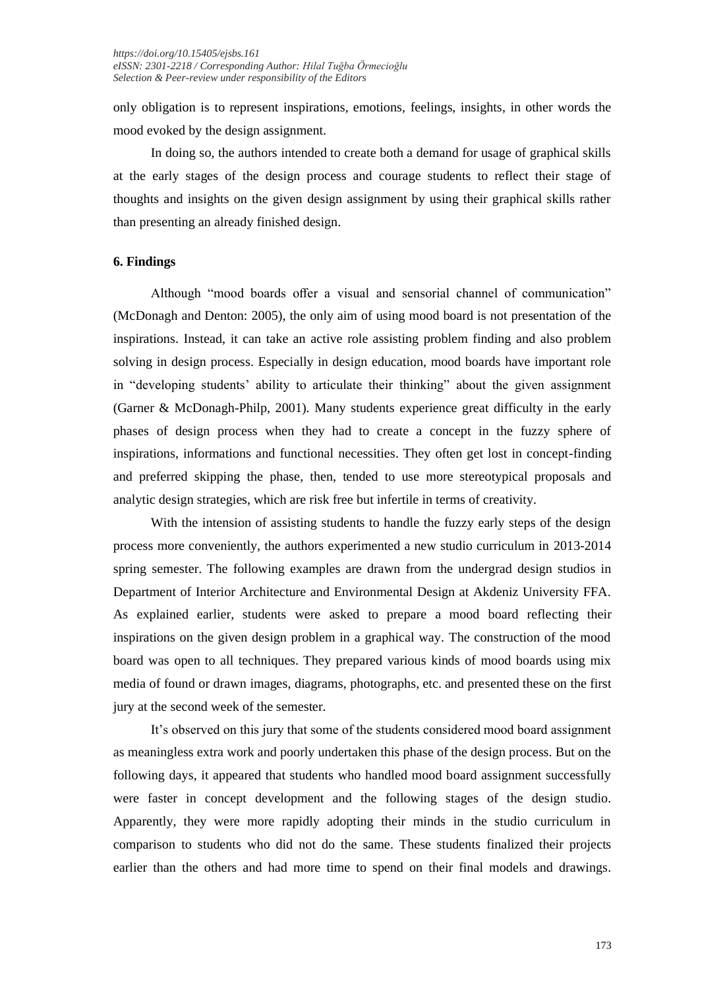only obligation is to represent inspirations, emotions, feelings, insights, in other words the mood evoked by the design assignment.

In doing so, the authors intended to create both a demand for usage of graphical skills at the early stages of the design process and courage students to reflect their stage of thoughts and insights on the given design assignment by using their graphical skills rather than presenting an already finished design.

#### **6. Findings**

Although "mood boards offer a visual and sensorial channel of communication" (McDonagh and Denton: 2005), the only aim of using mood board is not presentation of the inspirations. Instead, it can take an active role assisting problem finding and also problem solving in design process. Especially in design education, mood boards have important role in "developing students' ability to articulate their thinking" about the given assignment (Garner & McDonagh-Philp, 2001). Many students experience great difficulty in the early phases of design process when they had to create a concept in the fuzzy sphere of inspirations, informations and functional necessities. They often get lost in concept-finding and preferred skipping the phase, then, tended to use more stereotypical proposals and analytic design strategies, which are risk free but infertile in terms of creativity.

With the intension of assisting students to handle the fuzzy early steps of the design process more conveniently, the authors experimented a new studio curriculum in 2013-2014 spring semester. The following examples are drawn from the undergrad design studios in Department of Interior Architecture and Environmental Design at Akdeniz University FFA. As explained earlier, students were asked to prepare a mood board reflecting their inspirations on the given design problem in a graphical way. The construction of the mood board was open to all techniques. They prepared various kinds of mood boards using mix media of found or drawn images, diagrams, photographs, etc. and presented these on the first jury at the second week of the semester.

It's observed on this jury that some of the students considered mood board assignment as meaningless extra work and poorly undertaken this phase of the design process. But on the following days, it appeared that students who handled mood board assignment successfully were faster in concept development and the following stages of the design studio. Apparently, they were more rapidly adopting their minds in the studio curriculum in comparison to students who did not do the same. These students finalized their projects earlier than the others and had more time to spend on their final models and drawings.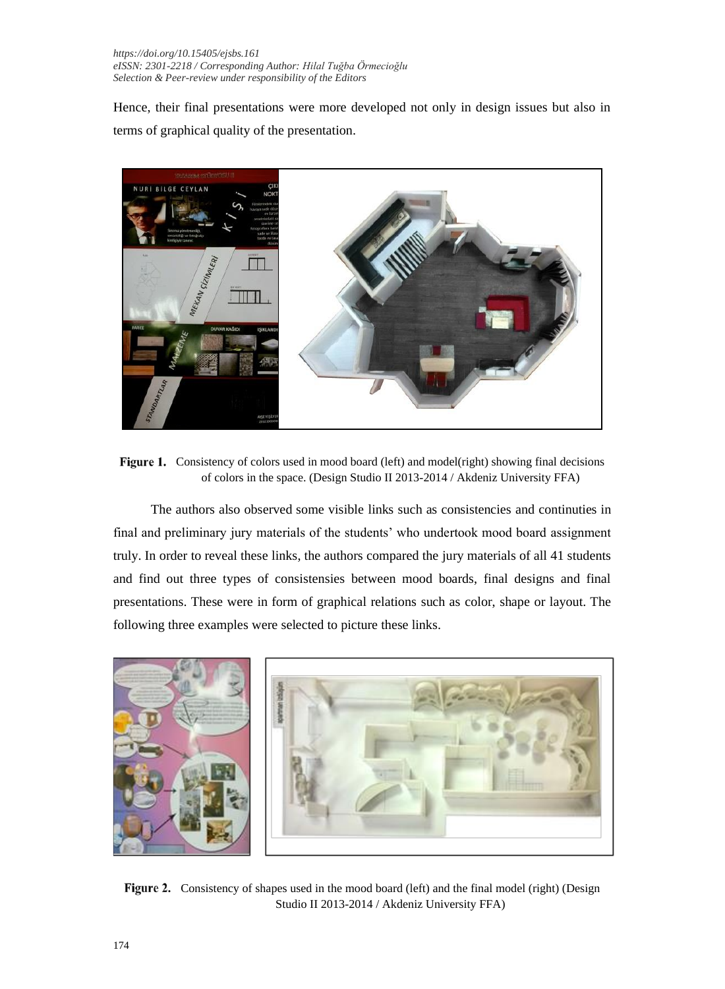Hence, their final presentations were more developed not only in design issues but also in terms of graphical quality of the presentation.



Figure 1. Consistency of colors used in mood board (left) and model(right) showing final decisions of colors in the space. (Design Studio II 2013-2014 / Akdeniz University FFA)

The authors also observed some visible links such as consistencies and continuties in final and preliminary jury materials of the students' who undertook mood board assignment truly. In order to reveal these links, the authors compared the jury materials of all 41 students and find out three types of consistensies between mood boards, final designs and final presentations. These were in form of graphical relations such as color, shape or layout. The following three examples were selected to picture these links.



Figure 2. Consistency of shapes used in the mood board (left) and the final model (right) (Design Studio II 2013-2014 / Akdeniz University FFA)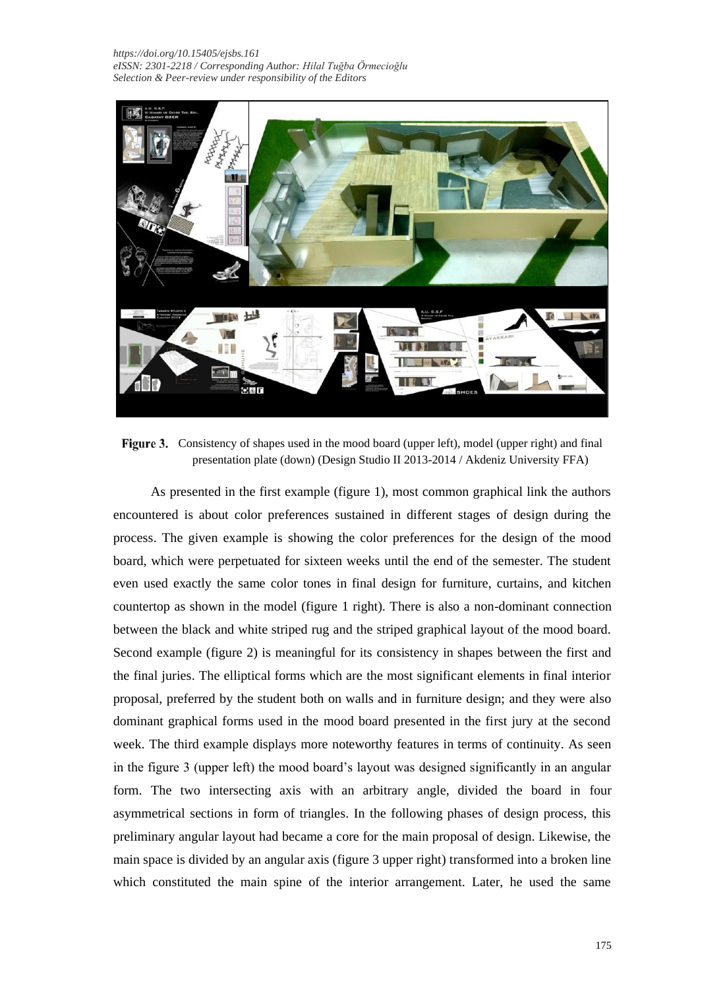

Figure 3. Consistency of shapes used in the mood board (upper left), model (upper right) and final presentation plate (down) (Design Studio II 2013-2014 / Akdeniz University FFA)

As presented in the first example (figure 1), most common graphical link the authors encountered is about color preferences sustained in different stages of design during the process. The given example is showing the color preferences for the design of the mood board, which were perpetuated for sixteen weeks until the end of the semester. The student even used exactly the same color tones in final design for furniture, curtains, and kitchen countertop as shown in the model (figure 1 right). There is also a non-dominant connection between the black and white striped rug and the striped graphical layout of the mood board. Second example (figure 2) is meaningful for its consistency in shapes between the first and the final juries. The elliptical forms which are the most significant elements in final interior proposal, preferred by the student both on walls and in furniture design; and they were also dominant graphical forms used in the mood board presented in the first jury at the second week. The third example displays more noteworthy features in terms of continuity. As seen in the figure 3 (upper left) the mood board's layout was designed significantly in an angular form. The two intersecting axis with an arbitrary angle, divided the board in four asymmetrical sections in form of triangles. In the following phases of design process, this preliminary angular layout had became a core for the main proposal of design. Likewise, the main space is divided by an angular axis (figure 3 upper right) transformed into a broken line which constituted the main spine of the interior arrangement. Later, he used the same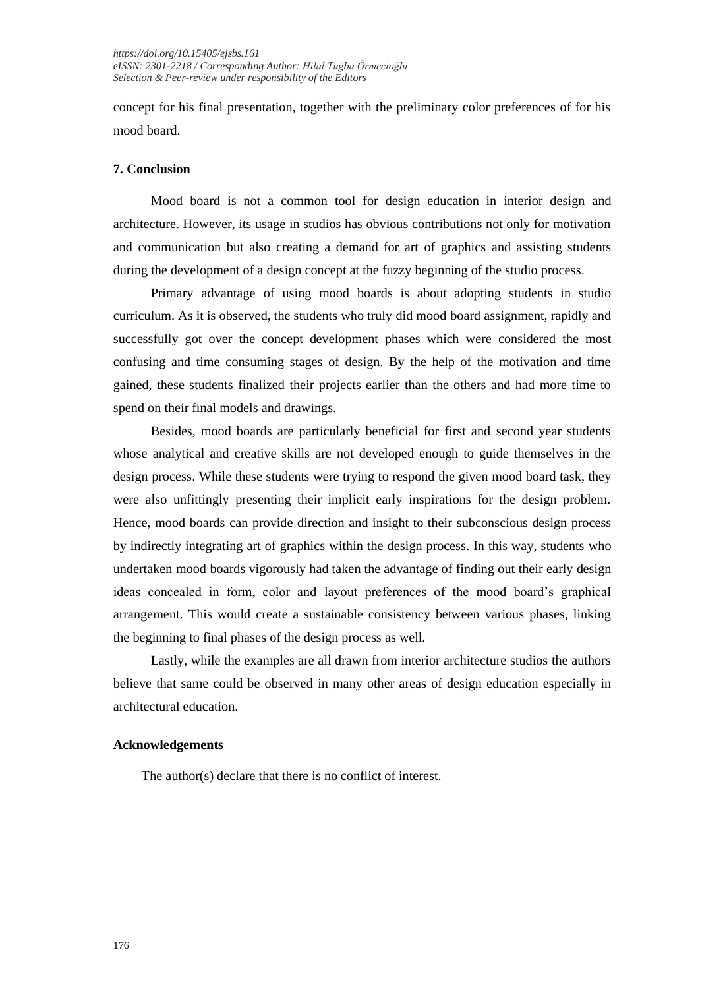concept for his final presentation, together with the preliminary color preferences of for his mood board.

#### **7. Conclusion**

Mood board is not a common tool for design education in interior design and architecture. However, its usage in studios has obvious contributions not only for motivation and communication but also creating a demand for art of graphics and assisting students during the development of a design concept at the fuzzy beginning of the studio process.

Primary advantage of using mood boards is about adopting students in studio curriculum. As it is observed, the students who truly did mood board assignment, rapidly and successfully got over the concept development phases which were considered the most confusing and time consuming stages of design. By the help of the motivation and time gained, these students finalized their projects earlier than the others and had more time to spend on their final models and drawings.

Besides, mood boards are particularly beneficial for first and second year students whose analytical and creative skills are not developed enough to guide themselves in the design process. While these students were trying to respond the given mood board task, they were also unfittingly presenting their implicit early inspirations for the design problem. Hence, mood boards can provide direction and insight to their subconscious design process by indirectly integrating art of graphics within the design process. In this way, students who undertaken mood boards vigorously had taken the advantage of finding out their early design ideas concealed in form, color and layout preferences of the mood board's graphical arrangement. This would create a sustainable consistency between various phases, linking the beginning to final phases of the design process as well.

Lastly, while the examples are all drawn from interior architecture studios the authors believe that same could be observed in many other areas of design education especially in architectural education.

#### **Acknowledgements**

The author(s) declare that there is no conflict of interest.